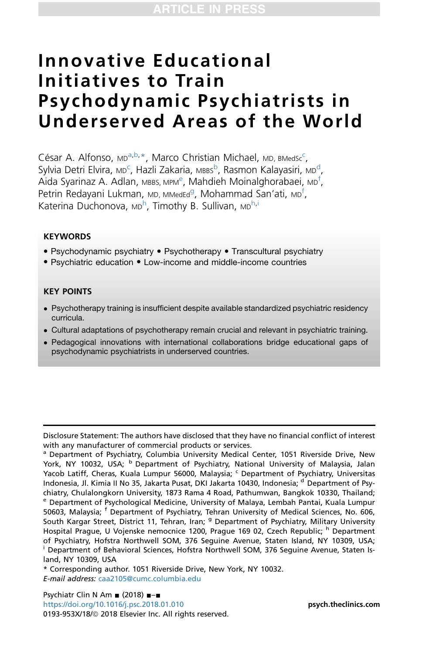# Innovative Educational Initiatives to Train Psychodynamic Psychiatrists in Underserved Areas of the World

César A. Alfonso, MD<sup>a,b,\*</sup>, Marco Christian Michael, MD, BMedsc<sup>c</sup>, Sylvia Detri Elvira, MD<sup>c</sup>, Hazli Zakaria, MBBS<sup>b</sup>, Rasmon Kalayasiri, MD<sup>d</sup>, Aida Syarinaz A. Adlan, MBBS, MPM<sup>e</sup>, Mahdieh Moinalghorabaei, MD<sup>f</sup>, Petrin Redayani Lukman, MD, MMedEd<sup>g</sup>, Mohammad San'ati, MD<sup>f</sup>, Katerina Duchonova, мр<sup>h</sup>, Timothy B. Sullivan, мр<sup>h,i</sup>

## **KEYWORDS**

- Psychodynamic psychiatry Psychotherapy Transcultural psychiatry
- Psychiatric education Low-income and middle-income countries

## KEY POINTS

- Psychotherapy training is insufficient despite available standardized psychiatric residency curricula.
- Cultural adaptations of psychotherapy remain crucial and relevant in psychiatric training.
- Pedagogical innovations with international collaborations bridge educational gaps of psychodynamic psychiatrists in underserved countries.

Disclosure Statement: The authors have disclosed that they have no financial conflict of interest with any manufacturer of commercial products or services.

\* Corresponding author. 1051 Riverside Drive, New York, NY 10032. E-mail address: [caa2105@cumc.columbia.edu](mailto:caa2105@cumc.columbia.edu)

Psychiatr Clin N Am  $(2018)$   $$ <https://doi.org/10.1016/j.psc.2018.01.010> **[psych.theclinics.com](http://psych.theclinics.com)** 0193-953X/18/@ 2018 Elsevier Inc. All rights reserved.

<sup>&</sup>lt;sup>a</sup> Department of Psychiatry, Columbia University Medical Center, 1051 Riverside Drive, New York, NY 10032, USA; <sup>b</sup> Department of Psychiatry, National University of Malaysia, Jalan Yacob Latiff, Cheras, Kuala Lumpur 56000, Malaysia; <sup>c</sup> Department of Psychiatry, Universitas Indonesia, Jl. Kimia II No 35, Jakarta Pusat, DKI Jakarta 10430, Indonesia; <sup>d</sup> Department of Psychiatry, Chulalongkorn University, 1873 Rama 4 Road, Pathumwan, Bangkok 10330, Thailand; <sup>e</sup> Department of Psychological Medicine, University of Malaya, Lembah Pantai, Kuala Lumpur 50603, Malaysia; <sup>f</sup> Department of Psychiatry, Tehran University of Medical Sciences, No. 606, South Kargar Street, District 11, Tehran, Iran; <sup>g</sup> Department of Psychiatry, Military University Hospital Prague, U Vojenske nemocnice 1200, Prague 169 02, Czech Republic; <sup>h</sup> Department of Psychiatry, Hofstra Northwell SOM, 376 Seguine Avenue, Staten Island, NY 10309, USA; <sup>i</sup> Department of Behavioral Sciences, Hofstra Northwell SOM, 376 Seguine Avenue, Staten Island, NY 10309, USA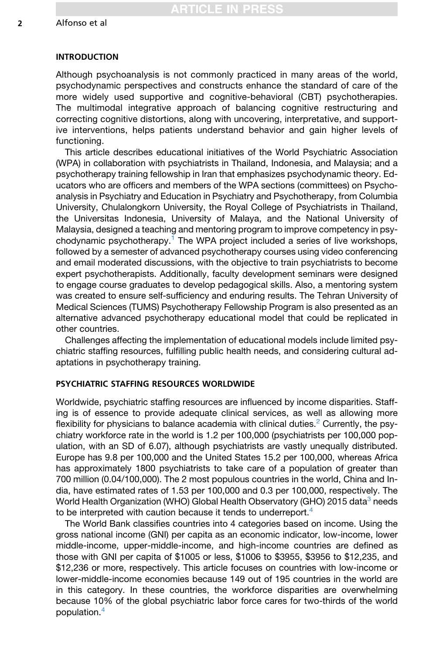## INTRODUCTION

Although psychoanalysis is not commonly practiced in many areas of the world, psychodynamic perspectives and constructs enhance the standard of care of the more widely used supportive and cognitive-behavioral (CBT) psychotherapies. The multimodal integrative approach of balancing cognitive restructuring and correcting cognitive distortions, along with uncovering, interpretative, and supportive interventions, helps patients understand behavior and gain higher levels of functioning.

This article describes educational initiatives of the World Psychiatric Association (WPA) in collaboration with psychiatrists in Thailand, Indonesia, and Malaysia; and a psychotherapy training fellowship in Iran that emphasizes psychodynamic theory. Educators who are officers and members of the WPA sections (committees) on Psychoanalysis in Psychiatry and Education in Psychiatry and Psychotherapy, from Columbia University, Chulalongkorn University, the Royal College of Psychiatrists in Thailand, the Universitas Indonesia, University of Malaya, and the National University of Malaysia, designed a teaching and mentoring program to improve competency in psychodynamic psychotherapy.[1](#page-11-0) The WPA project included a series of live workshops, followed by a semester of advanced psychotherapy courses using video conferencing and email moderated discussions, with the objective to train psychiatrists to become expert psychotherapists. Additionally, faculty development seminars were designed to engage course graduates to develop pedagogical skills. Also, a mentoring system was created to ensure self-sufficiency and enduring results. The Tehran University of Medical Sciences (TUMS) Psychotherapy Fellowship Program is also presented as an alternative advanced psychotherapy educational model that could be replicated in other countries.

Challenges affecting the implementation of educational models include limited psychiatric staffing resources, fulfilling public health needs, and considering cultural adaptations in psychotherapy training.

## PSYCHIATRIC STAFFING RESOURCES WORLDWIDE

Worldwide, psychiatric staffing resources are influenced by income disparities. Staffing is of essence to provide adequate clinical services, as well as allowing more flexibility for physicians to balance academia with clinical duties.<sup>[2](#page-11-0)</sup> Currently, the psychiatry workforce rate in the world is 1.2 per 100,000 (psychiatrists per 100,000 population, with an SD of 6.07), although psychiatrists are vastly unequally distributed. Europe has 9.8 per 100,000 and the United States 15.2 per 100,000, whereas Africa has approximately 1800 psychiatrists to take care of a population of greater than 700 million (0.04/100,000). The 2 most populous countries in the world, China and India, have estimated rates of 1.53 per 100,000 and 0.3 per 100,000, respectively. The World Health Organization (WHO) Global Health Observatory (GHO) 2015 data<sup>[3](#page-11-0)</sup> needs to be interpreted with caution because it tends to underreport.<sup>[4](#page-11-0)</sup>

The World Bank classifies countries into 4 categories based on income. Using the gross national income (GNI) per capita as an economic indicator, low-income, lower middle-income, upper-middle-income, and high-income countries are defined as those with GNI per capita of \$1005 or less, \$1006 to \$3955, \$3956 to \$12,235, and \$12,236 or more, respectively. This article focuses on countries with low-income or lower-middle-income economies because 149 out of 195 countries in the world are in this category. In these countries, the workforce disparities are overwhelming because 10% of the global psychiatric labor force cares for two-thirds of the world population.[4](#page-11-0)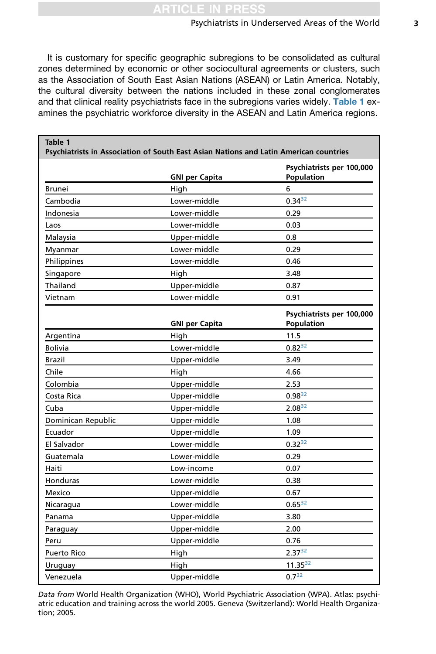## Psychiatrists in Underserved Areas of the World 3

It is customary for specific geographic subregions to be consolidated as cultural zones determined by economic or other sociocultural agreements or clusters, such as the Association of South East Asian Nations (ASEAN) or Latin America. Notably, the cultural diversity between the nations included in these zonal conglomerates and that clinical reality psychiatrists face in the subregions varies widely. Table 1 examines the psychiatric workforce diversity in the ASEAN and Latin America regions.

| Table 1<br>Psychiatrists in Association of South East Asian Nations and Latin American countries |                       |                                         |
|--------------------------------------------------------------------------------------------------|-----------------------|-----------------------------------------|
|                                                                                                  | <b>GNI per Capita</b> | Psychiatrists per 100,000<br>Population |
| <b>Brunei</b>                                                                                    | High                  | 6                                       |
| Cambodia                                                                                         | Lower-middle          | $0.34^{32}$                             |
| Indonesia                                                                                        | Lower-middle          | 0.29                                    |
| Laos                                                                                             | Lower-middle          | 0.03                                    |
| Malaysia                                                                                         | Upper-middle          | 0.8                                     |
| Myanmar                                                                                          | Lower-middle          | 0.29                                    |
| Philippines                                                                                      | Lower-middle          | 0.46                                    |
| Singapore                                                                                        | High                  | 3.48                                    |
| Thailand                                                                                         | Upper-middle          | 0.87                                    |
| Vietnam                                                                                          | Lower-middle          | 0.91                                    |
|                                                                                                  | <b>GNI per Capita</b> | Psychiatrists per 100,000<br>Population |
| Argentina                                                                                        | High                  | 11.5                                    |
| <b>Bolivia</b>                                                                                   | Lower-middle          | $0.82^{32}$                             |
| <b>Brazil</b>                                                                                    | Upper-middle          | 3.49                                    |
| Chile                                                                                            | High                  | 4.66                                    |
| Colombia                                                                                         | Upper-middle          | 2.53                                    |
| Costa Rica                                                                                       | Upper-middle          | $0.98^{32}$                             |
| Cuba                                                                                             | Upper-middle          | $2.08^{32}$                             |
| Dominican Republic                                                                               | Upper-middle          | 1.08                                    |
| Ecuador                                                                                          | Upper-middle          | 1.09                                    |
| El Salvador                                                                                      | Lower-middle          | $0.32^{32}$                             |
| Guatemala                                                                                        | Lower-middle          | 0.29                                    |
| Haiti                                                                                            | Low-income            | 0.07                                    |
| Honduras                                                                                         | Lower-middle          | 0.38                                    |
| Mexico                                                                                           | Upper-middle          | 0.67                                    |
| Nicaragua                                                                                        | Lower-middle          | $0.65^{32}$                             |
| Panama                                                                                           | Upper-middle          | 3.80                                    |
| Paraguay                                                                                         | Upper-middle          | 2.00                                    |
| Peru                                                                                             | Upper-middle          | 0.76                                    |
| Puerto Rico                                                                                      | High                  | 2.37 <sup>32</sup>                      |
| Uruguay                                                                                          | High                  | $11.35^{32}$                            |
| Venezuela                                                                                        | Upper-middle          | $0.7^{32}$                              |

Data from World Health Organization (WHO), World Psychiatric Association (WPA). Atlas: psychiatric education and training across the world 2005. Geneva (Switzerland): World Health Organization; 2005.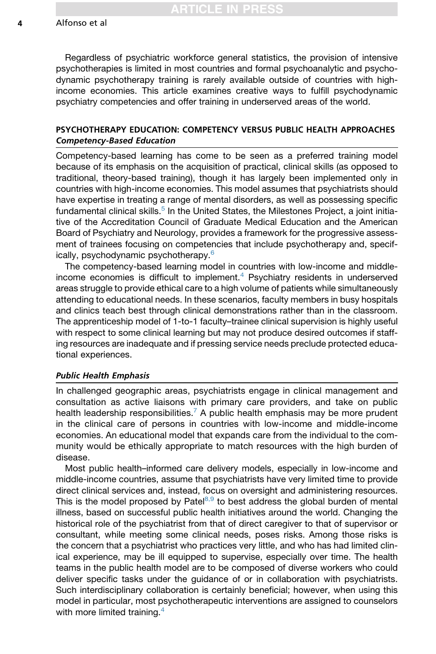RTICLE IN PRE

#### 4 Alfonso et al

Regardless of psychiatric workforce general statistics, the provision of intensive psychotherapies is limited in most countries and formal psychoanalytic and psychodynamic psychotherapy training is rarely available outside of countries with highincome economies. This article examines creative ways to fulfill psychodynamic psychiatry competencies and offer training in underserved areas of the world.

## PSYCHOTHERAPY EDUCATION: COMPETENCY VERSUS PUBLIC HEALTH APPROACHES Competency-Based Education

Competency-based learning has come to be seen as a preferred training model because of its emphasis on the acquisition of practical, clinical skills (as opposed to traditional, theory-based training), though it has largely been implemented only in countries with high-income economies. This model assumes that psychiatrists should have expertise in treating a range of mental disorders, as well as possessing specific fundamental clinical skills.<sup>[5](#page-11-0)</sup> In the United States, the Milestones Project, a joint initiative of the Accreditation Council of Graduate Medical Education and the American Board of Psychiatry and Neurology, provides a framework for the progressive assessment of trainees focusing on competencies that include psychotherapy and, specifically, psychodynamic psychotherapy.[6](#page-11-0)

The competency-based learning model in countries with low-income and middle-income economies is difficult to implement.<sup>[4](#page-11-0)</sup> Psychiatry residents in underserved areas struggle to provide ethical care to a high volume of patients while simultaneously attending to educational needs. In these scenarios, faculty members in busy hospitals and clinics teach best through clinical demonstrations rather than in the classroom. The apprenticeship model of 1-to-1 faculty–trainee clinical supervision is highly useful with respect to some clinical learning but may not produce desired outcomes if staffing resources are inadequate and if pressing service needs preclude protected educational experiences.

#### Public Health Emphasis

In challenged geographic areas, psychiatrists engage in clinical management and consultation as active liaisons with primary care providers, and take on public health leadership responsibilities.<sup>[7](#page-12-0)</sup> A public health emphasis may be more prudent in the clinical care of persons in countries with low-income and middle-income economies. An educational model that expands care from the individual to the community would be ethically appropriate to match resources with the high burden of disease.

Most public health–informed care delivery models, especially in low-income and middle-income countries, assume that psychiatrists have very limited time to provide direct clinical services and, instead, focus on oversight and administering resources. This is the model proposed by Patel $8,9$  to best address the global burden of mental illness, based on successful public health initiatives around the world. Changing the historical role of the psychiatrist from that of direct caregiver to that of supervisor or consultant, while meeting some clinical needs, poses risks. Among those risks is the concern that a psychiatrist who practices very little, and who has had limited clinical experience, may be ill equipped to supervise, especially over time. The health teams in the public health model are to be composed of diverse workers who could deliver specific tasks under the guidance of or in collaboration with psychiatrists. Such interdisciplinary collaboration is certainly beneficial; however, when using this model in particular, most psychotherapeutic interventions are assigned to counselors with more limited training. $4$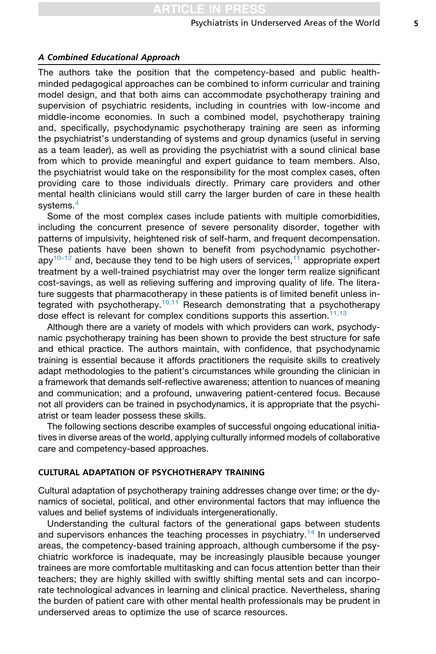#### Psychiatrists in Underserved Areas of the World 5

## A Combined Educational Approach

The authors take the position that the competency-based and public healthminded pedagogical approaches can be combined to inform curricular and training model design, and that both aims can accommodate psychotherapy training and supervision of psychiatric residents, including in countries with low-income and middle-income economies. In such a combined model, psychotherapy training and, specifically, psychodynamic psychotherapy training are seen as informing the psychiatrist's understanding of systems and group dynamics (useful in serving as a team leader), as well as providing the psychiatrist with a sound clinical base from which to provide meaningful and expert guidance to team members. Also, the psychiatrist would take on the responsibility for the most complex cases, often providing care to those individuals directly. Primary care providers and other mental health clinicians would still carry the larger burden of care in these health systems.<sup>[4](#page-11-0)</sup>

Some of the most complex cases include patients with multiple comorbidities, including the concurrent presence of severe personality disorder, together with patterns of impulsivity, heightened risk of self-harm, and frequent decompensation. These patients have been shown to benefit from psychodynamic psychother $apy^{10-12}$  and, because they tend to be high users of services,<sup>[11](#page-12-0)</sup> appropriate expert treatment by a well-trained psychiatrist may over the longer term realize significant cost-savings, as well as relieving suffering and improving quality of life. The literature suggests that pharmacotherapy in these patients is of limited benefit unless in-tegrated with psychotherapy.<sup>[10,11](#page-12-0)</sup> Research demonstrating that a psychotherapy dose effect is relevant for complex conditions supports this assertion.<sup>[11,13](#page-12-0)</sup>

Although there are a variety of models with which providers can work, psychodynamic psychotherapy training has been shown to provide the best structure for safe and ethical practice. The authors maintain, with confidence, that psychodynamic training is essential because it affords practitioners the requisite skills to creatively adapt methodologies to the patient's circumstances while grounding the clinician in a framework that demands self-reflective awareness; attention to nuances of meaning and communication; and a profound, unwavering patient-centered focus. Because not all providers can be trained in psychodynamics, it is appropriate that the psychiatrist or team leader possess these skills.

The following sections describe examples of successful ongoing educational initiatives in diverse areas of the world, applying culturally informed models of collaborative care and competency-based approaches.

## CULTURAL ADAPTATION OF PSYCHOTHERAPY TRAINING

Cultural adaptation of psychotherapy training addresses change over time; or the dynamics of societal, political, and other environmental factors that may influence the values and belief systems of individuals intergenerationally.

Understanding the cultural factors of the generational gaps between students and supervisors enhances the teaching processes in psychiatry.<sup>[14](#page-12-0)</sup> In underserved areas, the competency-based training approach, although cumbersome if the psychiatric workforce is inadequate, may be increasingly plausible because younger trainees are more comfortable multitasking and can focus attention better than their teachers; they are highly skilled with swiftly shifting mental sets and can incorporate technological advances in learning and clinical practice. Nevertheless, sharing the burden of patient care with other mental health professionals may be prudent in underserved areas to optimize the use of scarce resources.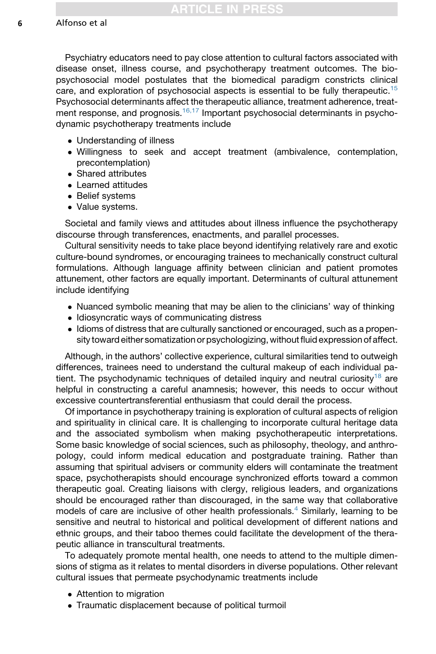#### 6 Alfonso et al

Psychiatry educators need to pay close attention to cultural factors associated with disease onset, illness course, and psychotherapy treatment outcomes. The biopsychosocial model postulates that the biomedical paradigm constricts clinical care, and exploration of psychosocial aspects is essential to be fully therapeutic.[15](#page-12-0) Psychosocial determinants affect the therapeutic alliance, treatment adherence, treat-ment response, and prognosis.<sup>[16,17](#page-12-0)</sup> Important psychosocial determinants in psychodynamic psychotherapy treatments include

- Understanding of illness
- Willingness to seek and accept treatment (ambivalence, contemplation, precontemplation)
- Shared attributes
- Learned attitudes
- **•** Belief systems
- Value systems.

Societal and family views and attitudes about illness influence the psychotherapy discourse through transferences, enactments, and parallel processes.

Cultural sensitivity needs to take place beyond identifying relatively rare and exotic culture-bound syndromes, or encouraging trainees to mechanically construct cultural formulations. Although language affinity between clinician and patient promotes attunement, other factors are equally important. Determinants of cultural attunement include identifying

- Nuanced symbolic meaning that may be alien to the clinicians' way of thinking
- Idiosyncratic ways of communicating distress
- $\bullet$  Idioms of distress that are culturally sanctioned or encouraged, such as a propensity toward either somatization or psychologizing, without fluid expression of affect.

Although, in the authors' collective experience, cultural similarities tend to outweigh differences, trainees need to understand the cultural makeup of each individual pa-tient. The psychodynamic techniques of detailed inquiry and neutral curiosity<sup>[18](#page-12-0)</sup> are helpful in constructing a careful anamnesis; however, this needs to occur without excessive countertransferential enthusiasm that could derail the process.

Of importance in psychotherapy training is exploration of cultural aspects of religion and spirituality in clinical care. It is challenging to incorporate cultural heritage data and the associated symbolism when making psychotherapeutic interpretations. Some basic knowledge of social sciences, such as philosophy, theology, and anthropology, could inform medical education and postgraduate training. Rather than assuming that spiritual advisers or community elders will contaminate the treatment space, psychotherapists should encourage synchronized efforts toward a common therapeutic goal. Creating liaisons with clergy, religious leaders, and organizations should be encouraged rather than discouraged, in the same way that collaborative models of care are inclusive of other health professionals.[4](#page-11-0) Similarly, learning to be sensitive and neutral to historical and political development of different nations and ethnic groups, and their taboo themes could facilitate the development of the therapeutic alliance in transcultural treatments.

To adequately promote mental health, one needs to attend to the multiple dimensions of stigma as it relates to mental disorders in diverse populations. Other relevant cultural issues that permeate psychodynamic treatments include

- Attention to migration
- Traumatic displacement because of political turmoil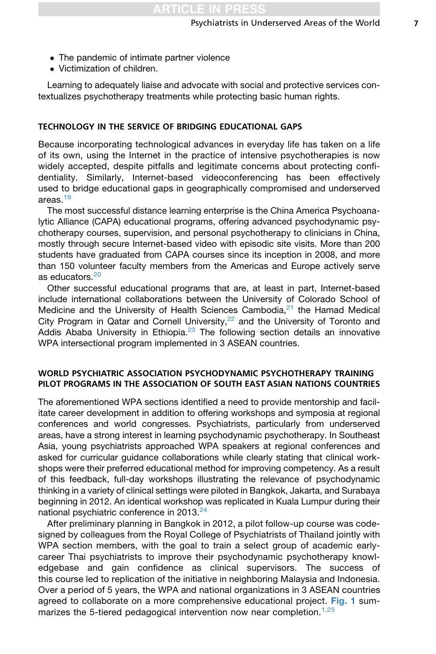- The pandemic of intimate partner violence
- Victimization of children.

Learning to adequately liaise and advocate with social and protective services contextualizes psychotherapy treatments while protecting basic human rights.

#### TECHNOLOGY IN THE SERVICE OF BRIDGING EDUCATIONAL GAPS

Because incorporating technological advances in everyday life has taken on a life of its own, using the Internet in the practice of intensive psychotherapies is now widely accepted, despite pitfalls and legitimate concerns about protecting confidentiality. Similarly, Internet-based videoconferencing has been effectively used to bridge educational gaps in geographically compromised and underserved areas.[19](#page-12-0)

The most successful distance learning enterprise is the China America Psychoanalytic Alliance (CAPA) educational programs, offering advanced psychodynamic psychotherapy courses, supervision, and personal psychotherapy to clinicians in China, mostly through secure Internet-based video with episodic site visits. More than 200 students have graduated from CAPA courses since its inception in 2008, and more than 150 volunteer faculty members from the Americas and Europe actively serve as educators.<sup>[20](#page-12-0)</sup>

Other successful educational programs that are, at least in part, Internet-based include international collaborations between the University of Colorado School of Medicine and the University of Health Sciences Cambodia, $21$  the Hamad Medical City Program in Qatar and Cornell University, $22$  and the University of Toronto and Addis Ababa University in Ethiopia.<sup>[23](#page-12-0)</sup> The following section details an innovative WPA intersectional program implemented in 3 ASEAN countries.

## WORLD PSYCHIATRIC ASSOCIATION PSYCHODYNAMIC PSYCHOTHERAPY TRAINING PILOT PROGRAMS IN THE ASSOCIATION OF SOUTH EAST ASIAN NATIONS COUNTRIES

The aforementioned WPA sections identified a need to provide mentorship and facilitate career development in addition to offering workshops and symposia at regional conferences and world congresses. Psychiatrists, particularly from underserved areas, have a strong interest in learning psychodynamic psychotherapy. In Southeast Asia, young psychiatrists approached WPA speakers at regional conferences and asked for curricular guidance collaborations while clearly stating that clinical workshops were their preferred educational method for improving competency. As a result of this feedback, full-day workshops illustrating the relevance of psychodynamic thinking in a variety of clinical settings were piloted in Bangkok, Jakarta, and Surabaya beginning in 2012. An identical workshop was replicated in Kuala Lumpur during their national psychiatric conference in  $2013.<sup>24</sup>$  $2013.<sup>24</sup>$  $2013.<sup>24</sup>$ 

After preliminary planning in Bangkok in 2012, a pilot follow-up course was codesigned by colleagues from the Royal College of Psychiatrists of Thailand jointly with WPA section members, with the goal to train a select group of academic earlycareer Thai psychiatrists to improve their psychodynamic psychotherapy knowledgebase and gain confidence as clinical supervisors. The success of this course led to replication of the initiative in neighboring Malaysia and Indonesia. Over a period of 5 years, the WPA and national organizations in 3 ASEAN countries agreed to collaborate on a more comprehensive educational project. [Fig. 1](#page-7-0) sum-marizes the 5-tiered pedagogical intervention now near completion.<sup>[1,25](#page-11-0)</sup>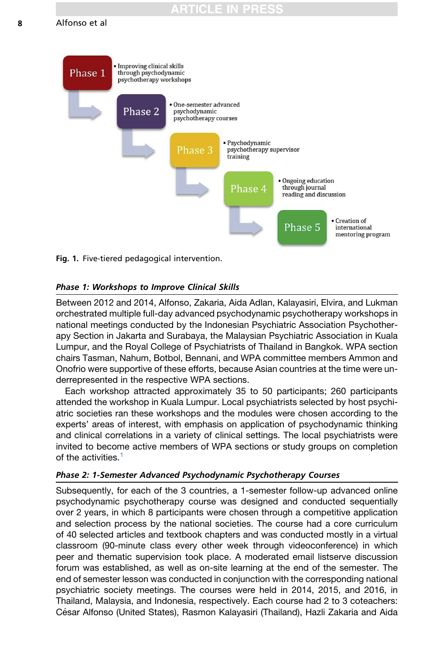## RTICLE IN P

<span id="page-7-0"></span>

## Phase 1: Workshops to Improve Clinical Skills

Between 2012 and 2014, Alfonso, Zakaria, Aida Adlan, Kalayasiri, Elvira, and Lukman orchestrated multiple full-day advanced psychodynamic psychotherapy workshops in national meetings conducted by the Indonesian Psychiatric Association Psychotherapy Section in Jakarta and Surabaya, the Malaysian Psychiatric Association in Kuala Lumpur, and the Royal College of Psychiatrists of Thailand in Bangkok. WPA section chairs Tasman, Nahum, Botbol, Bennani, and WPA committee members Ammon and Onofrio were supportive of these efforts, because Asian countries at the time were underrepresented in the respective WPA sections.

Each workshop attracted approximately 35 to 50 participants; 260 participants attended the workshop in Kuala Lumpur. Local psychiatrists selected by host psychiatric societies ran these workshops and the modules were chosen according to the experts' areas of interest, with emphasis on application of psychodynamic thinking and clinical correlations in a variety of clinical settings. The local psychiatrists were invited to become active members of WPA sections or study groups on completion of the activities.<sup>[1](#page-11-0)</sup>

## Phase 2: 1-Semester Advanced Psychodynamic Psychotherapy Courses

Subsequently, for each of the 3 countries, a 1-semester follow-up advanced online psychodynamic psychotherapy course was designed and conducted sequentially over 2 years, in which 8 participants were chosen through a competitive application and selection process by the national societies. The course had a core curriculum of 40 selected articles and textbook chapters and was conducted mostly in a virtual classroom (90-minute class every other week through videoconference) in which peer and thematic supervision took place. A moderated email listserve discussion forum was established, as well as on-site learning at the end of the semester. The end of semester lesson was conducted in conjunction with the corresponding national psychiatric society meetings. The courses were held in 2014, 2015, and 2016, in Thailand, Malaysia, and Indonesia, respectively. Each course had 2 to 3 coteachers: César Alfonso (United States), Rasmon Kalayasiri (Thailand), Hazli Zakaria and Aida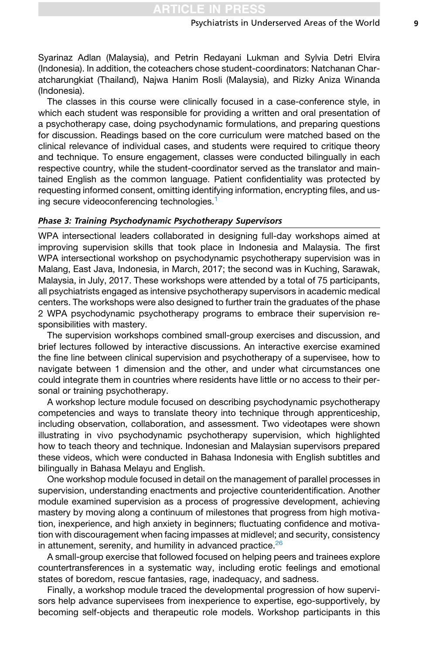## Psychiatrists in Underserved Areas of the World 9

Syarinaz Adlan (Malaysia), and Petrin Redayani Lukman and Sylvia Detri Elvira (Indonesia). In addition, the coteachers chose student-coordinators: Natchanan Charatcharungkiat (Thailand), Najwa Hanim Rosli (Malaysia), and Rizky Aniza Winanda (Indonesia).

The classes in this course were clinically focused in a case-conference style, in which each student was responsible for providing a written and oral presentation of a psychotherapy case, doing psychodynamic formulations, and preparing questions for discussion. Readings based on the core curriculum were matched based on the clinical relevance of individual cases, and students were required to critique theory and technique. To ensure engagement, classes were conducted bilingually in each respective country, while the student-coordinator served as the translator and maintained English as the common language. Patient confidentiality was protected by requesting informed consent, omitting identifying information, encrypting files, and us-ing secure videoconferencing technologies.<sup>[1](#page-11-0)</sup>

## Phase 3: Training Psychodynamic Psychotherapy Supervisors

WPA intersectional leaders collaborated in designing full-day workshops aimed at improving supervision skills that took place in Indonesia and Malaysia. The first WPA intersectional workshop on psychodynamic psychotherapy supervision was in Malang, East Java, Indonesia, in March, 2017; the second was in Kuching, Sarawak, Malaysia, in July, 2017. These workshops were attended by a total of 75 participants, all psychiatrists engaged as intensive psychotherapy supervisors in academic medical centers. The workshops were also designed to further train the graduates of the phase 2 WPA psychodynamic psychotherapy programs to embrace their supervision responsibilities with mastery.

The supervision workshops combined small-group exercises and discussion, and brief lectures followed by interactive discussions. An interactive exercise examined the fine line between clinical supervision and psychotherapy of a supervisee, how to navigate between 1 dimension and the other, and under what circumstances one could integrate them in countries where residents have little or no access to their personal or training psychotherapy.

A workshop lecture module focused on describing psychodynamic psychotherapy competencies and ways to translate theory into technique through apprenticeship, including observation, collaboration, and assessment. Two videotapes were shown illustrating in vivo psychodynamic psychotherapy supervision, which highlighted how to teach theory and technique. Indonesian and Malaysian supervisors prepared these videos, which were conducted in Bahasa Indonesia with English subtitles and bilingually in Bahasa Melayu and English.

One workshop module focused in detail on the management of parallel processes in supervision, understanding enactments and projective counteridentification. Another module examined supervision as a process of progressive development, achieving mastery by moving along a continuum of milestones that progress from high motivation, inexperience, and high anxiety in beginners; fluctuating confidence and motivation with discouragement when facing impasses at midlevel; and security, consistency in attunement, serenity, and humility in advanced practice.<sup>[26](#page-12-0)</sup>

A small-group exercise that followed focused on helping peers and trainees explore countertransferences in a systematic way, including erotic feelings and emotional states of boredom, rescue fantasies, rage, inadequacy, and sadness.

Finally, a workshop module traced the developmental progression of how supervisors help advance supervisees from inexperience to expertise, ego-supportively, by becoming self-objects and therapeutic role models. Workshop participants in this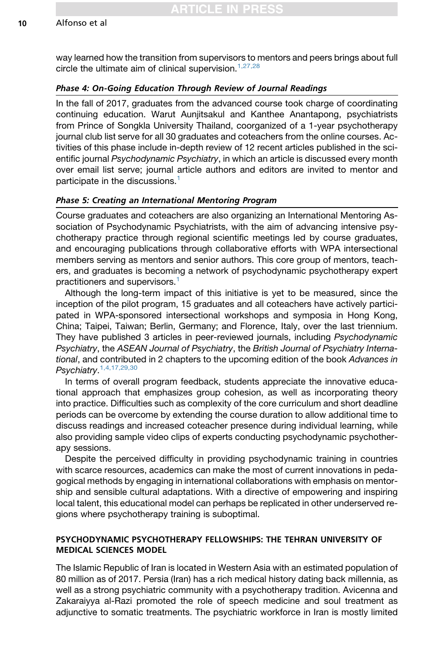way learned how the transition from supervisors to mentors and peers brings about full circle the ultimate aim of clinical supervision.<sup>[1,27,28](#page-11-0)</sup>

## Phase 4: On-Going Education Through Review of Journal Readings

In the fall of 2017, graduates from the advanced course took charge of coordinating continuing education. Warut Aunjitsakul and Kanthee Anantapong, psychiatrists from Prince of Songkla University Thailand, coorganized of a 1-year psychotherapy journal club list serve for all 30 graduates and coteachers from the online courses. Activities of this phase include in-depth review of 12 recent articles published in the scientific journal *Psychodynamic Psychiatry*, in which an article is discussed every month over email list serve; journal article authors and editors are invited to mentor and participate in the discussions[.1](#page-11-0)

## Phase 5: Creating an International Mentoring Program

Course graduates and coteachers are also organizing an International Mentoring Association of Psychodynamic Psychiatrists, with the aim of advancing intensive psychotherapy practice through regional scientific meetings led by course graduates, and encouraging publications through collaborative efforts with WPA intersectional members serving as mentors and senior authors. This core group of mentors, teachers, and graduates is becoming a network of psychodynamic psychotherapy expert practitioners and supervisors.[1](#page-11-0)

Although the long-term impact of this initiative is yet to be measured, since the inception of the pilot program, 15 graduates and all coteachers have actively participated in WPA-sponsored intersectional workshops and symposia in Hong Kong, China; Taipei, Taiwan; Berlin, Germany; and Florence, Italy, over the last triennium. They have published 3 articles in peer-reviewed journals, including *Psychodynamic Psychiatry*, the *ASEAN Journal of Psychiatry*, the *British Journal of Psychiatry International*, and contributed in 2 chapters to the upcoming edition of the book *Advances in Psychiatry*. [1,4,17,29,30](#page-11-0)

In terms of overall program feedback, students appreciate the innovative educational approach that emphasizes group cohesion, as well as incorporating theory into practice. Difficulties such as complexity of the core curriculum and short deadline periods can be overcome by extending the course duration to allow additional time to discuss readings and increased coteacher presence during individual learning, while also providing sample video clips of experts conducting psychodynamic psychotherapy sessions.

Despite the perceived difficulty in providing psychodynamic training in countries with scarce resources, academics can make the most of current innovations in pedagogical methods by engaging in international collaborations with emphasis on mentorship and sensible cultural adaptations. With a directive of empowering and inspiring local talent, this educational model can perhaps be replicated in other underserved regions where psychotherapy training is suboptimal.

## PSYCHODYNAMIC PSYCHOTHERAPY FELLOWSHIPS: THE TEHRAN UNIVERSITY OF MEDICAL SCIENCES MODEL

The Islamic Republic of Iran is located in Western Asia with an estimated population of 80 million as of 2017. Persia (Iran) has a rich medical history dating back millennia, as well as a strong psychiatric community with a psychotherapy tradition. Avicenna and Zakaraiyya al-Razi promoted the role of speech medicine and soul treatment as adjunctive to somatic treatments. The psychiatric workforce in Iran is mostly limited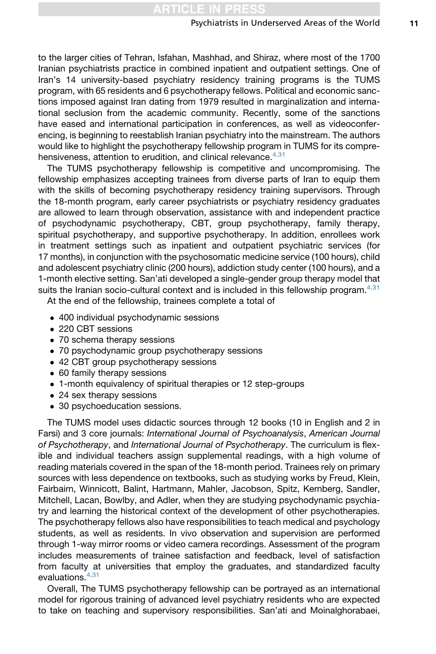to the larger cities of Tehran, Isfahan, Mashhad, and Shiraz, where most of the 1700 Iranian psychiatrists practice in combined inpatient and outpatient settings. One of Iran's 14 university-based psychiatry residency training programs is the TUMS program, with 65 residents and 6 psychotherapy fellows. Political and economic sanctions imposed against Iran dating from 1979 resulted in marginalization and international seclusion from the academic community. Recently, some of the sanctions have eased and international participation in conferences, as well as videoconferencing, is beginning to reestablish Iranian psychiatry into the mainstream. The authors would like to highlight the psychotherapy fellowship program in TUMS for its compre-hensiveness, attention to erudition, and clinical relevance.<sup>[4,31](#page-11-0)</sup>

The TUMS psychotherapy fellowship is competitive and uncompromising. The fellowship emphasizes accepting trainees from diverse parts of Iran to equip them with the skills of becoming psychotherapy residency training supervisors. Through the 18-month program, early career psychiatrists or psychiatry residency graduates are allowed to learn through observation, assistance with and independent practice of psychodynamic psychotherapy, CBT, group psychotherapy, family therapy, spiritual psychotherapy, and supportive psychotherapy. In addition, enrollees work in treatment settings such as inpatient and outpatient psychiatric services (for 17 months), in conjunction with the psychosomatic medicine service (100 hours), child and adolescent psychiatry clinic (200 hours), addiction study center (100 hours), and a 1-month elective setting. San'ati developed a single-gender group therapy model that suits the Iranian socio-cultural context and is included in this fellowship program. $4,31$ 

At the end of the fellowship, trainees complete a total of

- 400 individual psychodynamic sessions
- 220 CBT sessions
- 70 schema therapy sessions
- 70 psychodynamic group psychotherapy sessions
- 42 CBT group psychotherapy sessions
- 60 family therapy sessions
- 1-month equivalency of spiritual therapies or 12 step-groups
- 24 sex therapy sessions
- 30 psychoeducation sessions.

The TUMS model uses didactic sources through 12 books (10 in English and 2 in Farsi) and 3 core journals: *International Journal of Psychoanalysis*, *American Journal of Psychotherapy*, and *International Journal of Psychotherapy*. The curriculum is flexible and individual teachers assign supplemental readings, with a high volume of reading materials covered in the span of the 18-month period. Trainees rely on primary sources with less dependence on textbooks, such as studying works by Freud, Klein, Fairbairn, Winnicott, Balint, Hartmann, Mahler, Jacobson, Spitz, Kernberg, Sandler, Mitchell, Lacan, Bowlby, and Adler, when they are studying psychodynamic psychiatry and learning the historical context of the development of other psychotherapies. The psychotherapy fellows also have responsibilities to teach medical and psychology students, as well as residents. In vivo observation and supervision are performed through 1-way mirror rooms or video camera recordings. Assessment of the program includes measurements of trainee satisfaction and feedback, level of satisfaction from faculty at universities that employ the graduates, and standardized faculty evaluations.<sup>[4,31](#page-11-0)</sup>

Overall, The TUMS psychotherapy fellowship can be portrayed as an international model for rigorous training of advanced level psychiatry residents who are expected to take on teaching and supervisory responsibilities. San'ati and Moinalghorabaei,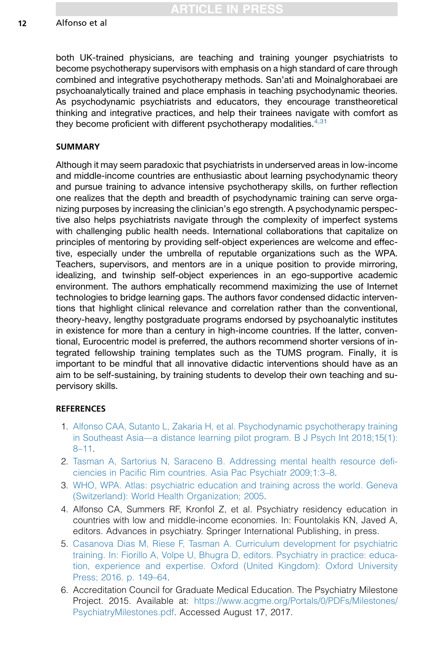<span id="page-11-0"></span>both UK-trained physicians, are teaching and training younger psychiatrists to become psychotherapy supervisors with emphasis on a high standard of care through combined and integrative psychotherapy methods. San'ati and Moinalghorabaei are psychoanalytically trained and place emphasis in teaching psychodynamic theories. As psychodynamic psychiatrists and educators, they encourage transtheoretical thinking and integrative practices, and help their trainees navigate with comfort as they become proficient with different psychotherapy modalities.<sup>4,31</sup>

## SUMMARY

Although it may seem paradoxic that psychiatrists in underserved areas in low-income and middle-income countries are enthusiastic about learning psychodynamic theory and pursue training to advance intensive psychotherapy skills, on further reflection one realizes that the depth and breadth of psychodynamic training can serve organizing purposes by increasing the clinician's ego strength. A psychodynamic perspective also helps psychiatrists navigate through the complexity of imperfect systems with challenging public health needs. International collaborations that capitalize on principles of mentoring by providing self-object experiences are welcome and effective, especially under the umbrella of reputable organizations such as the WPA. Teachers, supervisors, and mentors are in a unique position to provide mirroring, idealizing, and twinship self-object experiences in an ego-supportive academic environment. The authors emphatically recommend maximizing the use of Internet technologies to bridge learning gaps. The authors favor condensed didactic interventions that highlight clinical relevance and correlation rather than the conventional, theory-heavy, lengthy postgraduate programs endorsed by psychoanalytic institutes in existence for more than a century in high-income countries. If the latter, conventional, Eurocentric model is preferred, the authors recommend shorter versions of integrated fellowship training templates such as the TUMS program. Finally, it is important to be mindful that all innovative didactic interventions should have as an aim to be self-sustaining, by training students to develop their own teaching and supervisory skills.

## **REFERENCES**

- 1. [Alfonso CAA, Sutanto L, Zakaria H, et al. Psychodynamic psychotherapy training](http://refhub.elsevier.com/S0193-953X(18)30010-8/sref1) [in Southeast Asia—a distance learning pilot program. B J Psych Int 2018;15\(1\):](http://refhub.elsevier.com/S0193-953X(18)30010-8/sref1) 8–11.
- 2. [Tasman A, Sartorius N, Saraceno B. Addressing mental health resource defi](http://refhub.elsevier.com/S0193-953X(18)30010-8/sref2)[ciencies in Pacific Rim countries. Asia Pac Psychiatr 2009;1:3–8](http://refhub.elsevier.com/S0193-953X(18)30010-8/sref2).
- 3. [WHO, WPA. Atlas: psychiatric education and training across the world. Geneva](http://refhub.elsevier.com/S0193-953X(18)30010-8/sref3) [\(Switzerland\): World Health Organization; 2005.](http://refhub.elsevier.com/S0193-953X(18)30010-8/sref3)
- 4. Alfonso CA, Summers RF, Kronfol Z, et al. Psychiatry residency education in countries with low and middle-income economies. In: Fountolakis KN, Javed A, editors. Advances in psychiatry. Springer International Publishing, in press.
- 5. [Casanova Dias M, Riese F, Tasman A. Curriculum development for psychiatric](http://refhub.elsevier.com/S0193-953X(18)30010-8/sref5) [training. In: Fiorillo A, Volpe U, Bhugra D, editors. Psychiatry in practice: educa](http://refhub.elsevier.com/S0193-953X(18)30010-8/sref5)[tion, experience and expertise. Oxford \(United Kingdom\): Oxford University](http://refhub.elsevier.com/S0193-953X(18)30010-8/sref5) [Press; 2016. p. 149–64.](http://refhub.elsevier.com/S0193-953X(18)30010-8/sref5)
- 6. Accreditation Council for Graduate Medical Education. The Psychiatry Milestone Project. 2015. Available at: [https://www.acgme.org/Portals/0/PDFs/Milestones/](https://www.acgme.org/Portals/0/PDFs/Milestones/PsychiatryMilestones.pdf) [PsychiatryMilestones.pdf](https://www.acgme.org/Portals/0/PDFs/Milestones/PsychiatryMilestones.pdf). Accessed August 17, 2017.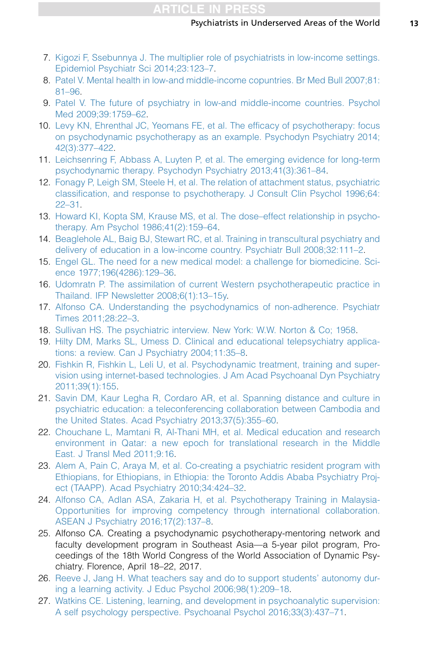- <span id="page-12-0"></span>7. [Kigozi F, Ssebunnya J. The multiplier role of psychiatrists in low-income settings.](http://refhub.elsevier.com/S0193-953X(18)30010-8/sref7) [Epidemiol Psychiatr Sci 2014;23:123–7.](http://refhub.elsevier.com/S0193-953X(18)30010-8/sref7)
- 8. [Patel V. Mental health in low-and middle-income copuntries. Br Med Bull 2007;81:](http://refhub.elsevier.com/S0193-953X(18)30010-8/sref8) [81–96](http://refhub.elsevier.com/S0193-953X(18)30010-8/sref8).
- 9. [Patel V. The future of psychiatry in low-and middle-income countries. Psychol](http://refhub.elsevier.com/S0193-953X(18)30010-8/sref9) [Med 2009;39:1759–62.](http://refhub.elsevier.com/S0193-953X(18)30010-8/sref9)
- 10. [Levy KN, Ehrenthal JC, Yeomans FE, et al. The efficacy of psychotherapy: focus](http://refhub.elsevier.com/S0193-953X(18)30010-8/sref10) [on psychodynamic psychotherapy as an example. Psychodyn Psychiatry 2014;](http://refhub.elsevier.com/S0193-953X(18)30010-8/sref10) [42\(3\):377–422](http://refhub.elsevier.com/S0193-953X(18)30010-8/sref10).
- 11. [Leichsenring F, Abbass A, Luyten P, et al. The emerging evidence for long-term](http://refhub.elsevier.com/S0193-953X(18)30010-8/sref11) [psychodynamic therapy. Psychodyn Psychiatry 2013;41\(3\):361–84.](http://refhub.elsevier.com/S0193-953X(18)30010-8/sref11)
- 12. [Fonagy P, Leigh SM, Steele H, et al. The relation of attachment status, psychiatric](http://refhub.elsevier.com/S0193-953X(18)30010-8/sref12) [classification, and response to psychotherapy. J Consult Clin Psychol 1996;64:](http://refhub.elsevier.com/S0193-953X(18)30010-8/sref12) [22–31](http://refhub.elsevier.com/S0193-953X(18)30010-8/sref12).
- 13. [Howard KI, Kopta SM, Krause MS, et al. The dose–effect relationship in psycho](http://refhub.elsevier.com/S0193-953X(18)30010-8/sref13)[therapy. Am Psychol 1986;41\(2\):159–64](http://refhub.elsevier.com/S0193-953X(18)30010-8/sref13).
- 14. [Beaglehole AL, Baig BJ, Stewart RC, et al. Training in transcultural psychiatry and](http://refhub.elsevier.com/S0193-953X(18)30010-8/sref14) [delivery of education in a low-income country. Psychiatr Bull 2008;32:111–2.](http://refhub.elsevier.com/S0193-953X(18)30010-8/sref14)
- 15. [Engel GL. The need for a new medical model: a challenge for biomedicine. Sci](http://refhub.elsevier.com/S0193-953X(18)30010-8/sref15)[ence 1977;196\(4286\):129–36](http://refhub.elsevier.com/S0193-953X(18)30010-8/sref15).
- 16. [Udomratn P. The assimilation of current Western psychotherapeutic practice in](http://refhub.elsevier.com/S0193-953X(18)30010-8/sref16) [Thailand. IFP Newsletter 2008;6\(1\):13–15y.](http://refhub.elsevier.com/S0193-953X(18)30010-8/sref16)
- 17. [Alfonso CA. Understanding the psychodynamics of non-adherence. Psychiatr](http://refhub.elsevier.com/S0193-953X(18)30010-8/sref17) [Times 2011;28:22–3.](http://refhub.elsevier.com/S0193-953X(18)30010-8/sref17)
- 18. [Sullivan HS. The psychiatric interview. New York: W.W. Norton & Co; 1958](http://refhub.elsevier.com/S0193-953X(18)30010-8/sref18).
- 19. [Hilty DM, Marks SL, Umess D. Clinical and educational telepsychiatry applica](http://refhub.elsevier.com/S0193-953X(18)30010-8/sref19)[tions: a review. Can J Psychiatry 2004;11:35–8](http://refhub.elsevier.com/S0193-953X(18)30010-8/sref19).
- 20. [Fishkin R, Fishkin L, Leli U, et al. Psychodynamic treatment, training and super](http://refhub.elsevier.com/S0193-953X(18)30010-8/sref20)[vision using internet-based technologies. J Am Acad Psychoanal Dyn Psychiatry](http://refhub.elsevier.com/S0193-953X(18)30010-8/sref20) [2011;39\(1\):155](http://refhub.elsevier.com/S0193-953X(18)30010-8/sref20).
- 21. [Savin DM, Kaur Legha R, Cordaro AR, et al. Spanning distance and culture in](http://refhub.elsevier.com/S0193-953X(18)30010-8/sref21) [psychiatric education: a teleconferencing collaboration between Cambodia and](http://refhub.elsevier.com/S0193-953X(18)30010-8/sref21) [the United States. Acad Psychiatry 2013;37\(5\):355–60.](http://refhub.elsevier.com/S0193-953X(18)30010-8/sref21)
- 22. [Chouchane L, Mamtani R, Al-Thani MH, et al. Medical education and research](http://refhub.elsevier.com/S0193-953X(18)30010-8/sref22) [environment in Qatar: a new epoch for translational research in the Middle](http://refhub.elsevier.com/S0193-953X(18)30010-8/sref22) [East. J Transl Med 2011;9:16](http://refhub.elsevier.com/S0193-953X(18)30010-8/sref22).
- 23. [Alem A, Pain C, Araya M, et al. Co-creating a psychiatric resident program with](http://refhub.elsevier.com/S0193-953X(18)30010-8/sref23) [Ethiopians, for Ethiopians, in Ethiopia: the Toronto Addis Ababa Psychiatry Proj](http://refhub.elsevier.com/S0193-953X(18)30010-8/sref23)[ect \(TAAPP\). Acad Psychiatry 2010;34:424–32.](http://refhub.elsevier.com/S0193-953X(18)30010-8/sref23)
- 24. [Alfonso CA, Adlan ASA, Zakaria H, et al. Psychotherapy Training in Malaysia-](http://refhub.elsevier.com/S0193-953X(18)30010-8/sref24)[Opportunities for improving competency through international collaboration.](http://refhub.elsevier.com/S0193-953X(18)30010-8/sref24) [ASEAN J Psychiatry 2016;17\(2\):137–8.](http://refhub.elsevier.com/S0193-953X(18)30010-8/sref24)
- 25. Alfonso CA. Creating a psychodynamic psychotherapy-mentoring network and faculty development program in Southeast Asia—a 5-year pilot program, Proceedings of the 18th World Congress of the World Association of Dynamic Psychiatry. Florence, April 18–22, 2017.
- 26. [Reeve J, Jang H. What teachers say and do to support students' autonomy dur](http://refhub.elsevier.com/S0193-953X(18)30010-8/sref26)[ing a learning activity. J Educ Psychol 2006;98\(1\):209–18.](http://refhub.elsevier.com/S0193-953X(18)30010-8/sref26)
- 27. [Watkins CE. Listening, learning, and development in psychoanalytic supervision:](http://refhub.elsevier.com/S0193-953X(18)30010-8/sref27) [A self psychology perspective. Psychoanal Psychol 2016;33\(3\):437–71.](http://refhub.elsevier.com/S0193-953X(18)30010-8/sref27)